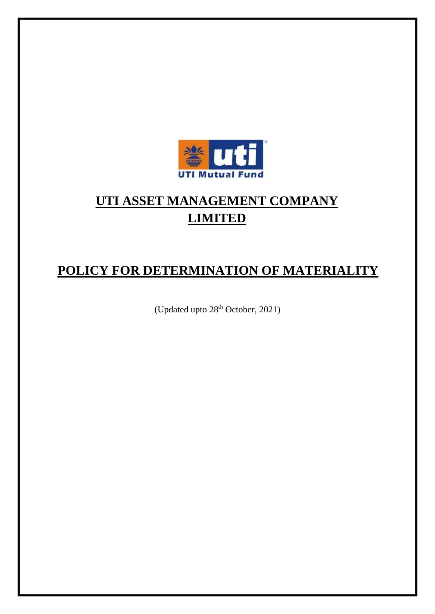

# **UTI ASSET MANAGEMENT COMPANY LIMITED**

## **POLICY FOR DETERMINATION OF MATERIALITY**

(Updated upto 28<sup>th</sup> October, 2021)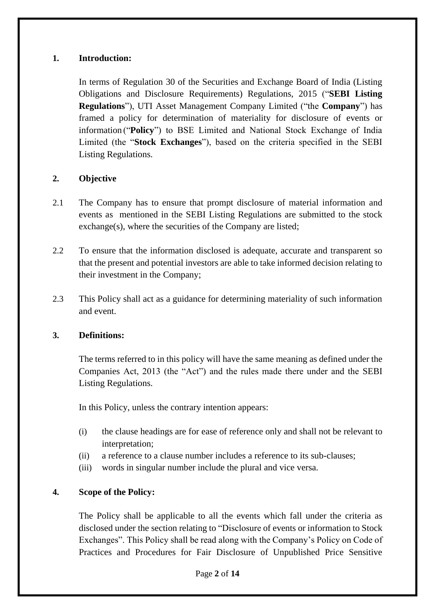## **1. Introduction:**

In terms of Regulation 30 of the Securities and Exchange Board of India (Listing Obligations and Disclosure Requirements) Regulations, 2015 ("**SEBI Listing Regulations**"), UTI Asset Management Company Limited ("the **Company**") has framed a policy for determination of materiality for disclosure of events or information ("**Policy**") to BSE Limited and National Stock Exchange of India Limited (the "**Stock Exchanges**"), based on the criteria specified in the SEBI Listing Regulations.

## **2. Objective**

- 2.1 The Company has to ensure that prompt disclosure of material information and events as mentioned in the SEBI Listing Regulations are submitted to the stock exchange(s), where the securities of the Company are listed;
- 2.2 To ensure that the information disclosed is adequate, accurate and transparent so that the present and potential investors are able to take informed decision relating to their investment in the Company;
- 2.3 This Policy shall act as a guidance for determining materiality of such information and event.

## **3. Definitions:**

The terms referred to in this policy will have the same meaning as defined under the Companies Act, 2013 (the "Act") and the rules made there under and the SEBI Listing Regulations.

In this Policy, unless the contrary intention appears:

- (i) the clause headings are for ease of reference only and shall not be relevant to interpretation;
- (ii) a reference to a clause number includes a reference to its sub-clauses;
- (iii) words in singular number include the plural and vice versa.

## **4. Scope of the Policy:**

The Policy shall be applicable to all the events which fall under the criteria as disclosed under the section relating to "Disclosure of events or information to Stock Exchanges". This Policy shall be read along with the Company's Policy on Code of Practices and Procedures for Fair Disclosure of Unpublished Price Sensitive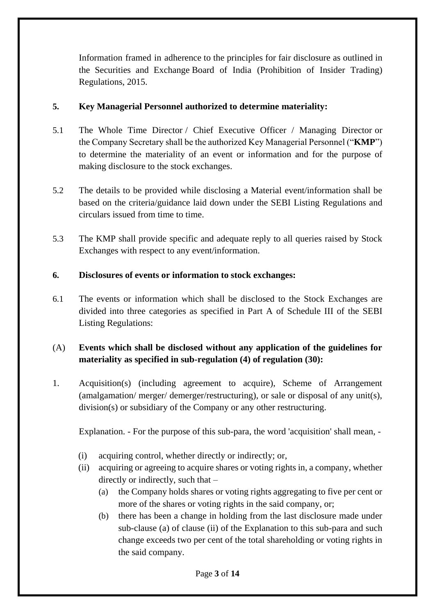Information framed in adherence to the principles for fair disclosure as outlined in the Securities and Exchange Board of India (Prohibition of Insider Trading) Regulations, 2015.

## **5. Key Managerial Personnel authorized to determine materiality:**

- 5.1 The Whole Time Director / Chief Executive Officer / Managing Director or the Company Secretary shall be the authorized Key Managerial Personnel ("**KMP**") to determine the materiality of an event or information and for the purpose of making disclosure to the stock exchanges.
- 5.2 The details to be provided while disclosing a Material event/information shall be based on the criteria/guidance laid down under the SEBI Listing Regulations and circulars issued from time to time.
- 5.3 The KMP shall provide specific and adequate reply to all queries raised by Stock Exchanges with respect to any event/information.

## **6. Disclosures of events or information to stock exchanges:**

6.1 The events or information which shall be disclosed to the Stock Exchanges are divided into three categories as specified in Part A of Schedule III of the SEBI Listing Regulations:

## (A) **Events which shall be disclosed without any application of the guidelines for materiality as specified in sub-regulation (4) of regulation (30):**

1. Acquisition(s) (including agreement to acquire), Scheme of Arrangement (amalgamation/ merger/ demerger/restructuring), or sale or disposal of any unit(s), division(s) or subsidiary of the Company or any other restructuring.

Explanation. - For the purpose of this sub-para, the word 'acquisition' shall mean, -

- (i) acquiring control, whether directly or indirectly; or,
- (ii) acquiring or agreeing to acquire shares or voting rights in, a company, whether directly or indirectly, such that –
	- (a) the Company holds shares or voting rights aggregating to five per cent or more of the shares or voting rights in the said company, or;
	- (b) there has been a change in holding from the last disclosure made under sub-clause (a) of clause (ii) of the Explanation to this sub-para and such change exceeds two per cent of the total shareholding or voting rights in the said company.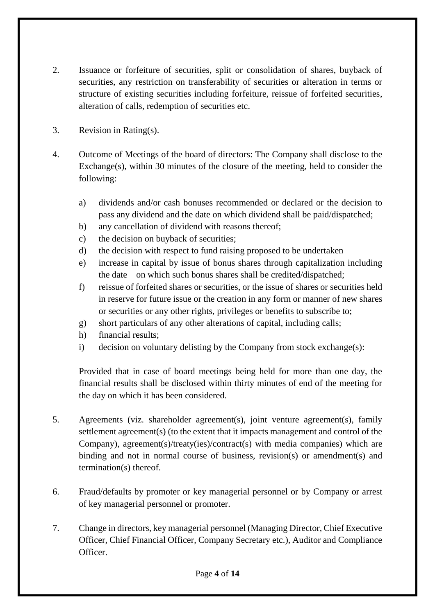- 2. Issuance or forfeiture of securities, split or consolidation of shares, buyback of securities, any restriction on transferability of securities or alteration in terms or structure of existing securities including forfeiture, reissue of forfeited securities, alteration of calls, redemption of securities etc.
- 3. Revision in Rating(s).
- 4. Outcome of Meetings of the board of directors: The Company shall disclose to the Exchange(s), within 30 minutes of the closure of the meeting, held to consider the following:
	- a) dividends and/or cash bonuses recommended or declared or the decision to pass any dividend and the date on which dividend shall be paid/dispatched;
	- b) any cancellation of dividend with reasons thereof;
	- c) the decision on buyback of securities;
	- d) the decision with respect to fund raising proposed to be undertaken
	- e) increase in capital by issue of bonus shares through capitalization including the date on which such bonus shares shall be credited/dispatched;
	- f) reissue of forfeited shares or securities, or the issue of shares or securities held in reserve for future issue or the creation in any form or manner of new shares or securities or any other rights, privileges or benefits to subscribe to;
	- g) short particulars of any other alterations of capital, including calls;
	- h) financial results;
	- i) decision on voluntary delisting by the Company from stock exchange(s):

Provided that in case of board meetings being held for more than one day, the financial results shall be disclosed within thirty minutes of end of the meeting for the day on which it has been considered.

- 5. Agreements (viz. shareholder agreement(s), joint venture agreement(s), family settlement agreement(s) (to the extent that it impacts management and control of the Company), agreement(s)/treaty(ies)/contract(s) with media companies) which are binding and not in normal course of business, revision(s) or amendment(s) and termination(s) thereof.
- 6. Fraud/defaults by promoter or key managerial personnel or by Company or arrest of key managerial personnel or promoter.
- 7. Change in directors, key managerial personnel (Managing Director, Chief Executive Officer, Chief Financial Officer, Company Secretary etc.), Auditor and Compliance Officer.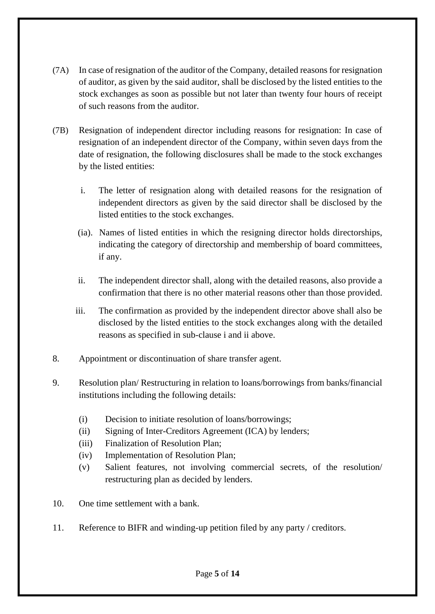- (7A) In case of resignation of the auditor of the Company, detailed reasons for resignation of auditor, as given by the said auditor, shall be disclosed by the listed entities to the stock exchanges as soon as possible but not later than twenty four hours of receipt of such reasons from the auditor.
- (7B) Resignation of independent director including reasons for resignation: In case of resignation of an independent director of the Company, within seven days from the date of resignation, the following disclosures shall be made to the stock exchanges by the listed entities:
	- i. The letter of resignation along with detailed reasons for the resignation of independent directors as given by the said director shall be disclosed by the listed entities to the stock exchanges.
	- (ia). Names of listed entities in which the resigning director holds directorships, indicating the category of directorship and membership of board committees, if any.
	- ii. The independent director shall, along with the detailed reasons, also provide a confirmation that there is no other material reasons other than those provided.
	- iii. The confirmation as provided by the independent director above shall also be disclosed by the listed entities to the stock exchanges along with the detailed reasons as specified in sub-clause i and ii above.
- 8. Appointment or discontinuation of share transfer agent.
- 9. Resolution plan/ Restructuring in relation to loans/borrowings from banks/financial institutions including the following details:
	- (i) Decision to initiate resolution of loans/borrowings;
	- (ii) Signing of Inter-Creditors Agreement (ICA) by lenders;
	- (iii) Finalization of Resolution Plan;
	- (iv) Implementation of Resolution Plan;
	- (v) Salient features, not involving commercial secrets, of the resolution/ restructuring plan as decided by lenders.
- 10. One time settlement with a bank.
- 11. Reference to BIFR and winding-up petition filed by any party / creditors.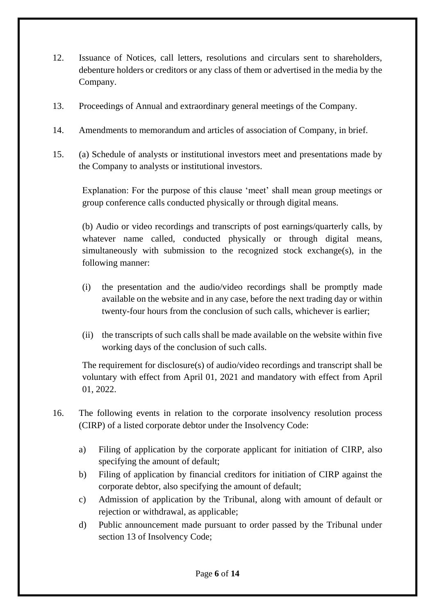- 12. Issuance of Notices, call letters, resolutions and circulars sent to shareholders, debenture holders or creditors or any class of them or advertised in the media by the Company.
- 13. Proceedings of Annual and extraordinary general meetings of the Company.
- 14. Amendments to memorandum and articles of association of Company, in brief.
- 15. (a) Schedule of analysts or institutional investors meet and presentations made by the Company to analysts or institutional investors.

Explanation: For the purpose of this clause 'meet' shall mean group meetings or group conference calls conducted physically or through digital means.

(b) Audio or video recordings and transcripts of post earnings/quarterly calls, by whatever name called, conducted physically or through digital means, simultaneously with submission to the recognized stock exchange(s), in the following manner:

- (i) the presentation and the audio/video recordings shall be promptly made available on the website and in any case, before the next trading day or within twenty-four hours from the conclusion of such calls, whichever is earlier;
- (ii) the transcripts of such calls shall be made available on the website within five working days of the conclusion of such calls.

The requirement for disclosure(s) of audio/video recordings and transcript shall be voluntary with effect from April 01, 2021 and mandatory with effect from April 01, 2022.

- 16. The following events in relation to the corporate insolvency resolution process (CIRP) of a listed corporate debtor under the Insolvency Code:
	- a) Filing of application by the corporate applicant for initiation of CIRP, also specifying the amount of default;
	- b) Filing of application by financial creditors for initiation of CIRP against the corporate debtor, also specifying the amount of default;
	- c) Admission of application by the Tribunal, along with amount of default or rejection or withdrawal, as applicable;
	- d) Public announcement made pursuant to order passed by the Tribunal under section 13 of Insolvency Code;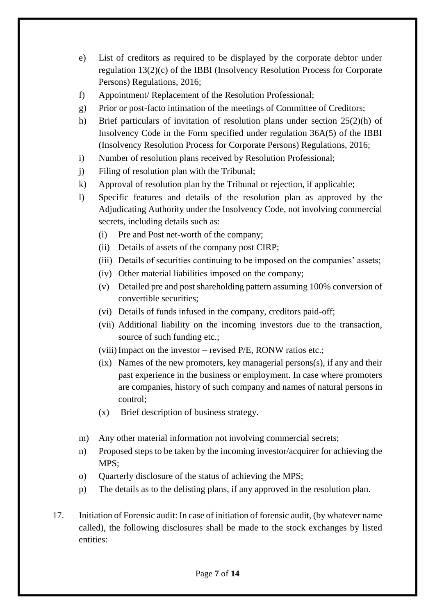- e) List of creditors as required to be displayed by the corporate debtor under regulation 13(2)(c) of the IBBI (Insolvency Resolution Process for Corporate Persons) Regulations, 2016;
- f) Appointment/ Replacement of the Resolution Professional;
- g) Prior or post-facto intimation of the meetings of Committee of Creditors;
- h) Brief particulars of invitation of resolution plans under section 25(2)(h) of Insolvency Code in the Form specified under regulation 36A(5) of the IBBI (Insolvency Resolution Process for Corporate Persons) Regulations, 2016;
- i) Number of resolution plans received by Resolution Professional;
- j) Filing of resolution plan with the Tribunal;
- k) Approval of resolution plan by the Tribunal or rejection, if applicable;
- l) Specific features and details of the resolution plan as approved by the Adjudicating Authority under the Insolvency Code, not involving commercial secrets, including details such as:
	- (i) Pre and Post net-worth of the company;
	- (ii) Details of assets of the company post CIRP;
	- (iii) Details of securities continuing to be imposed on the companies' assets;
	- (iv) Other material liabilities imposed on the company;
	- (v) Detailed pre and post shareholding pattern assuming 100% conversion of convertible securities;
	- (vi) Details of funds infused in the company, creditors paid-off;
	- (vii) Additional liability on the incoming investors due to the transaction, source of such funding etc.;
	- (viii) Impact on the investor revised  $P/E$ , RONW ratios etc.;
	- (ix) Names of the new promoters, key managerial persons(s), if any and their past experience in the business or employment. In case where promoters are companies, history of such company and names of natural persons in control;
	- (x) Brief description of business strategy.
- m) Any other material information not involving commercial secrets;
- n) Proposed steps to be taken by the incoming investor/acquirer for achieving the MPS;
- o) Quarterly disclosure of the status of achieving the MPS;
- p) The details as to the delisting plans, if any approved in the resolution plan.
- 17. Initiation of Forensic audit: In case of initiation of forensic audit, (by whatever name called), the following disclosures shall be made to the stock exchanges by listed entities: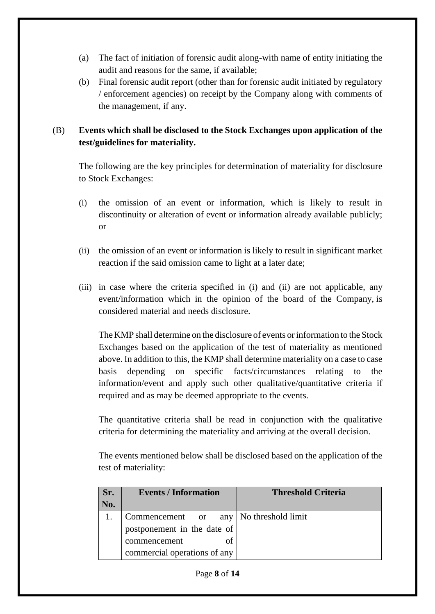- (a) The fact of initiation of forensic audit along-with name of entity initiating the audit and reasons for the same, if available;
- (b) Final forensic audit report (other than for forensic audit initiated by regulatory / enforcement agencies) on receipt by the Company along with comments of the management, if any.

## (B) **Events which shall be disclosed to the Stock Exchanges upon application of the test/guidelines for materiality.**

The following are the key principles for determination of materiality for disclosure to Stock Exchanges:

- (i) the omission of an event or information, which is likely to result in discontinuity or alteration of event or information already available publicly; or
- (ii) the omission of an event or information is likely to result in significant market reaction if the said omission came to light at a later date;
- (iii) in case where the criteria specified in (i) and (ii) are not applicable, any event/information which in the opinion of the board of the Company, is considered material and needs disclosure.

The KMP shall determine on the disclosure of events or information to the Stock Exchanges based on the application of the test of materiality as mentioned above. In addition to this, the KMP shall determine materiality on a case to case basis depending on specific facts/circumstances relating to the information/event and apply such other qualitative/quantitative criteria if required and as may be deemed appropriate to the events.

The quantitative criteria shall be read in conjunction with the qualitative criteria for determining the materiality and arriving at the overall decision.

The events mentioned below shall be disclosed based on the application of the test of materiality:

| Sr. | <b>Events / Information</b>                                                                    | <b>Threshold Criteria</b> |
|-----|------------------------------------------------------------------------------------------------|---------------------------|
| No. |                                                                                                |                           |
|     | Commencement or<br>postponement in the date of<br>commencement<br>commercial operations of any | any   No threshold limit  |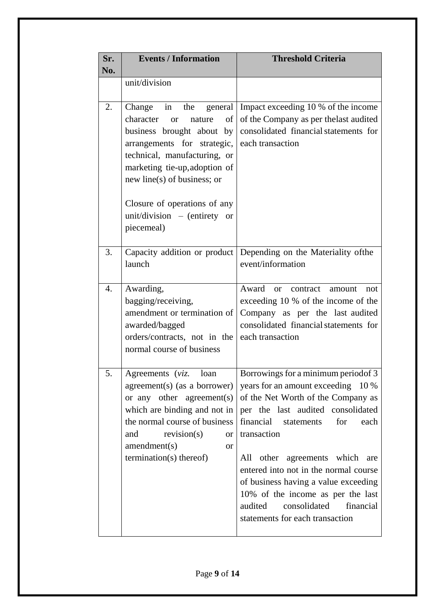| Sr.<br>No. | <b>Events / Information</b>                                                                                                                                                                                                                        | <b>Threshold Criteria</b>                                                                                                                                                                                                                                                                                                                                                                                                                                                     |
|------------|----------------------------------------------------------------------------------------------------------------------------------------------------------------------------------------------------------------------------------------------------|-------------------------------------------------------------------------------------------------------------------------------------------------------------------------------------------------------------------------------------------------------------------------------------------------------------------------------------------------------------------------------------------------------------------------------------------------------------------------------|
|            | unit/division                                                                                                                                                                                                                                      |                                                                                                                                                                                                                                                                                                                                                                                                                                                                               |
| 2.         | Change<br>in<br>character<br>of<br>nature<br><b>or</b><br>business brought about by<br>arrangements for strategic,<br>technical, manufacturing, or<br>marketing tie-up, adoption of<br>new line(s) of business; or<br>Closure of operations of any | the general   Impact exceeding 10 % of the income<br>of the Company as per the last audited<br>consolidated financial statements for<br>each transaction                                                                                                                                                                                                                                                                                                                      |
|            | unit/division - (entirety or<br>piecemeal)                                                                                                                                                                                                         |                                                                                                                                                                                                                                                                                                                                                                                                                                                                               |
| 3.         | launch                                                                                                                                                                                                                                             | Capacity addition or product Depending on the Materiality of the<br>event/information                                                                                                                                                                                                                                                                                                                                                                                         |
| 4.         | Awarding,<br>bagging/receiving,<br>amendment or termination of<br>awarded/bagged<br>orders/contracts, not in the<br>normal course of business                                                                                                      | Award<br>or contract amount<br>not<br>exceeding 10 % of the income of the<br>Company as per the last audited<br>consolidated financial statements for<br>each transaction                                                                                                                                                                                                                                                                                                     |
|            | Agreements (viz.<br>loan<br>or any other agreement(s)<br>which are binding and not in<br>the normal course of business<br>revision(s)<br>and<br><b>or</b><br>amendment(s)<br><sub>or</sub><br>termination(s) thereof)                              | Borrowings for a minimum period of 3<br>agreement(s) (as a borrower)   years for an amount exceeding 10 %<br>of the Net Worth of the Company as<br>per the last audited consolidated<br>financial statements<br>for<br>each<br>transaction<br>All other agreements which are<br>entered into not in the normal course<br>of business having a value exceeding<br>10% of the income as per the last<br>consolidated<br>audited<br>financial<br>statements for each transaction |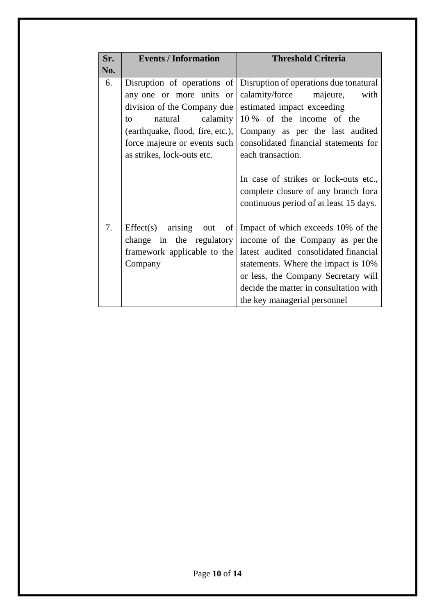| Sr. | <b>Events / Information</b>                                                             | <b>Threshold Criteria</b>                                                                                                                                                                                                                                                                           |
|-----|-----------------------------------------------------------------------------------------|-----------------------------------------------------------------------------------------------------------------------------------------------------------------------------------------------------------------------------------------------------------------------------------------------------|
| No. |                                                                                         |                                                                                                                                                                                                                                                                                                     |
| 6.  | any one or more units or<br>division of the Company due                                 | Disruption of operations of Disruption of operations due tonatural<br>calamity/force<br>with<br>majeure,<br>estimated impact exceeding                                                                                                                                                              |
|     | calamity<br>natural<br>to<br>force majeure or events such<br>as strikes, lock-outs etc. | 10 % of the income of the<br>(earthquake, flood, fire, etc.), Company as per the last audited<br>consolidated financial statements for<br>each transaction.<br>In case of strikes or lock-outs etc.,<br>complete closure of any branch for a<br>continuous period of at least 15 days.              |
| 7.  | arising<br>Effect(s)<br>out<br>framework applicable to the<br>Company                   | of Impact of which exceeds 10% of the<br>change in the regulatory income of the Company as per the<br>latest audited consolidated financial<br>statements. Where the impact is 10%<br>or less, the Company Secretary will<br>decide the matter in consultation with<br>the key managerial personnel |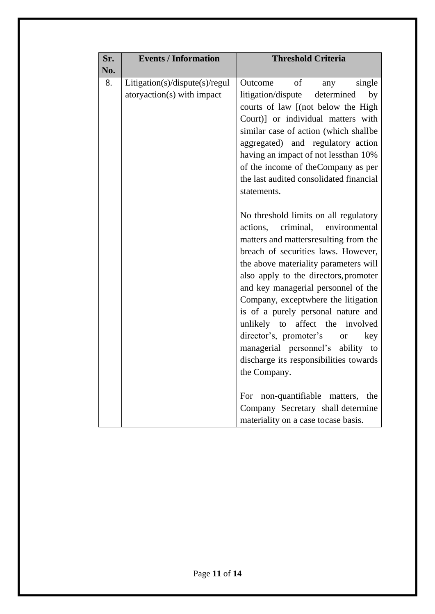| Sr. | <b>Events / Information</b>                                  | <b>Threshold Criteria</b>                                                                                                                                                                                                                                                                                                                                                                                                                                                                                                                                              |
|-----|--------------------------------------------------------------|------------------------------------------------------------------------------------------------------------------------------------------------------------------------------------------------------------------------------------------------------------------------------------------------------------------------------------------------------------------------------------------------------------------------------------------------------------------------------------------------------------------------------------------------------------------------|
| No. |                                                              |                                                                                                                                                                                                                                                                                                                                                                                                                                                                                                                                                                        |
| 8.  | Litigation(s)/dispute(s)/regul<br>atoryaction(s) with impact | of<br>single<br>Outcome<br>any<br>litigation/dispute<br>determined<br>by<br>courts of law [(not below the High<br>Court)] or individual matters with<br>similar case of action (which shallbe<br>aggregated) and regulatory action<br>having an impact of not lessthan 10%<br>of the income of the Company as per<br>the last audited consolidated financial<br>statements.                                                                                                                                                                                            |
|     |                                                              | No threshold limits on all regulatory<br>criminal,<br>actions,<br>environmental<br>matters and matters resulting from the<br>breach of securities laws. However,<br>the above materiality parameters will<br>also apply to the directors, promoter<br>and key managerial personnel of the<br>Company, exceptwhere the litigation<br>is of a purely personal nature and<br>unlikely to<br>affect<br>the<br>involved<br>director's, promoter's<br>key<br><sub>or</sub><br>managerial personnel's<br>ability to<br>discharge its responsibilities towards<br>the Company. |
|     |                                                              | non-quantifiable matters,<br>the<br>For<br>Company Secretary shall determine<br>materiality on a case tocase basis.                                                                                                                                                                                                                                                                                                                                                                                                                                                    |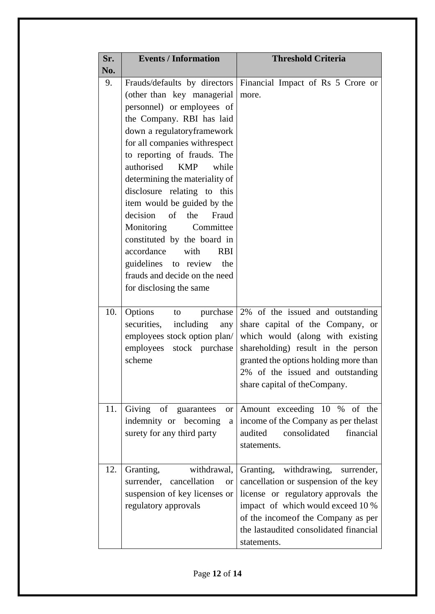| Sr. | <b>Events / Information</b>                                                                                                                                                                                                                                                                                                                                                                                                                                                                                                                      | <b>Threshold Criteria</b>                                                                                                                                                                                                                                    |
|-----|--------------------------------------------------------------------------------------------------------------------------------------------------------------------------------------------------------------------------------------------------------------------------------------------------------------------------------------------------------------------------------------------------------------------------------------------------------------------------------------------------------------------------------------------------|--------------------------------------------------------------------------------------------------------------------------------------------------------------------------------------------------------------------------------------------------------------|
| No. |                                                                                                                                                                                                                                                                                                                                                                                                                                                                                                                                                  |                                                                                                                                                                                                                                                              |
| 9.  | (other than key managerial<br>personnel) or employees of<br>the Company. RBI has laid<br>down a regulatoryframework<br>for all companies withrespect<br>to reporting of frauds. The<br>authorised<br><b>KMP</b><br>while<br>determining the materiality of<br>disclosure relating to this<br>item would be guided by the<br>decision of<br>the<br>Fraud<br>Committee<br>Monitoring<br>constituted by the board in<br>accordance<br>with<br><b>RBI</b><br>guidelines to review<br>the<br>frauds and decide on the need<br>for disclosing the same | Frauds/defaults by directors Financial Impact of Rs 5 Crore or<br>more.                                                                                                                                                                                      |
| 10. | Options<br>purchase<br>to<br>securities,<br>including<br>any<br>employees stock option plan/<br>employees stock purchase<br>scheme                                                                                                                                                                                                                                                                                                                                                                                                               | 2% of the issued and outstanding<br>share capital of the Company, or<br>which would (along with existing<br>shareholding) result in the person<br>granted the options holding more than<br>2% of the issued and outstanding<br>share capital of the Company. |
| 11. | Giving of<br>guarantees<br><b>or</b><br>indemnity or becoming<br>a<br>surety for any third party                                                                                                                                                                                                                                                                                                                                                                                                                                                 | Amount exceeding 10 % of the<br>income of the Company as per the last<br>consolidated<br>financial<br>audited<br>statements.                                                                                                                                 |
| 12. | withdrawal,<br>Granting,<br>surrender,<br>cancellation<br>or<br>suspension of key licenses or<br>regulatory approvals                                                                                                                                                                                                                                                                                                                                                                                                                            | Granting, withdrawing,<br>surrender,<br>cancellation or suspension of the key<br>license or regulatory approvals the<br>impact of which would exceed 10 %<br>of the income of the Company as per<br>the last audited consolidated financial<br>statements.   |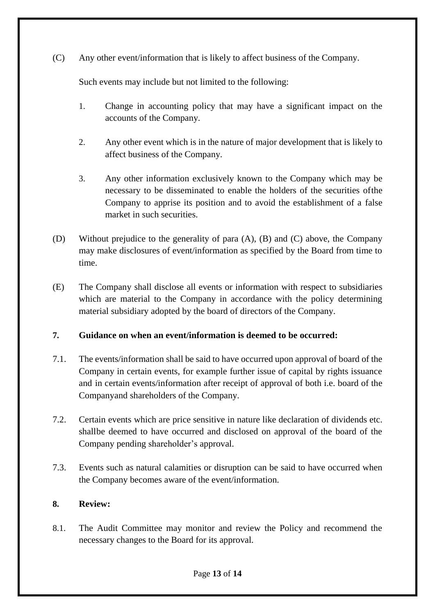(C) Any other event/information that is likely to affect business of the Company.

Such events may include but not limited to the following:

- 1. Change in accounting policy that may have a significant impact on the accounts of the Company.
- 2. Any other event which is in the nature of major development that is likely to affect business of the Company.
- 3. Any other information exclusively known to the Company which may be necessary to be disseminated to enable the holders of the securities ofthe Company to apprise its position and to avoid the establishment of a false market in such securities.
- (D) Without prejudice to the generality of para (A), (B) and (C) above, the Company may make disclosures of event/information as specified by the Board from time to time.
- (E) The Company shall disclose all events or information with respect to subsidiaries which are material to the Company in accordance with the policy determining material subsidiary adopted by the board of directors of the Company.

## **7. Guidance on when an event/information is deemed to be occurred:**

- 7.1. The events/information shall be said to have occurred upon approval of board of the Company in certain events, for example further issue of capital by rights issuance and in certain events/information after receipt of approval of both i.e. board of the Companyand shareholders of the Company.
- 7.2. Certain events which are price sensitive in nature like declaration of dividends etc. shallbe deemed to have occurred and disclosed on approval of the board of the Company pending shareholder's approval.
- 7.3. Events such as natural calamities or disruption can be said to have occurred when the Company becomes aware of the event/information.

## **8. Review:**

8.1. The Audit Committee may monitor and review the Policy and recommend the necessary changes to the Board for its approval.